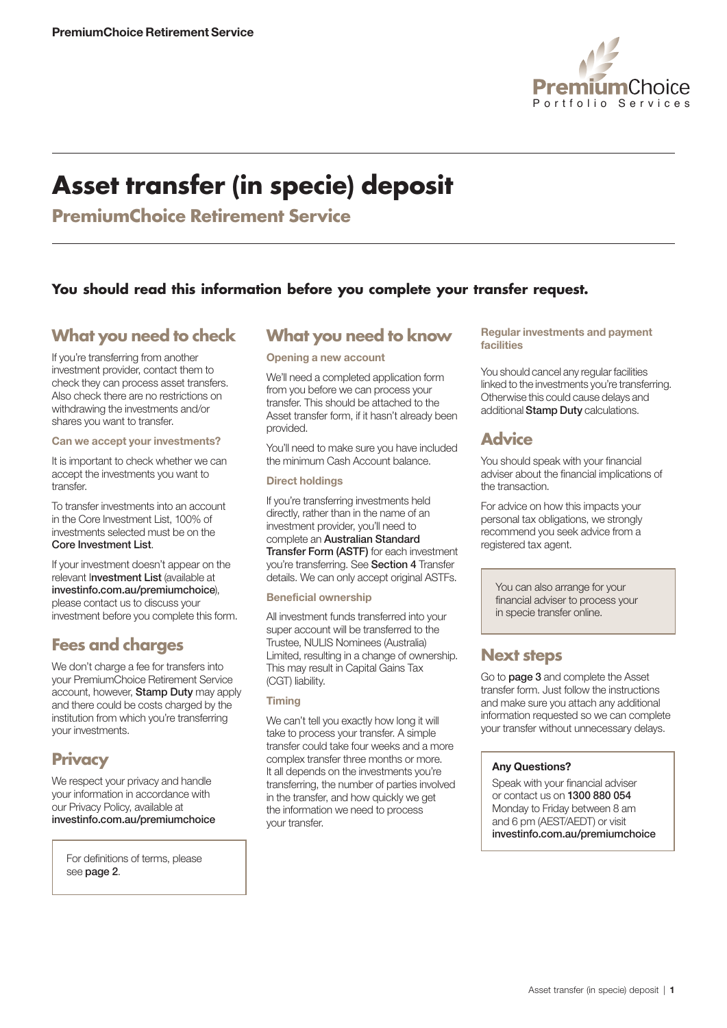

# **Asset transfer (in specie) deposit**

**PremiumChoice Retirement Service**

### **You should read this information before you complete your transfer request.**

### **What you need to check**

If you're transferring from another investment provider, contact them to check they can process asset transfers. Also check there are no restrictions on withdrawing the investments and/or shares you want to transfer.

#### Can we accept your investments?

It is important to check whether we can accept the investments you want to transfer.

To transfer investments into an account in the Core Investment List, 100% of investments selected must be on the Core Investment List.

If your investment doesn't appear on the relevant Investment List (available at investinfo.com.au/premiumchoice), please contact us to discuss your investment before you complete this form.

### **Fees and charges**

We don't charge a fee for transfers into your PremiumChoice Retirement Service account, however, **Stamp Duty** may apply and there could be costs charged by the institution from which you're transferring your investments.

### **Privacy**

We respect your privacy and handle your information in accordance with our Privacy Policy, available at investinfo.com.au/premiumchoice

For definitions of terms, please see page 2.

### **What you need to know**

#### Opening a new account

We'll need a completed application form from you before we can process your transfer. This should be attached to the Asset transfer form, if it hasn't already been provided.

You'll need to make sure you have included the minimum Cash Account balance.

#### Direct holdings

If you're transferring investments held directly, rather than in the name of an investment provider, you'll need to complete an Australian Standard Transfer Form (ASTF) for each investment you're transferring. See Section 4 Transfer details. We can only accept original ASTFs.

#### Beneficial ownership

All investment funds transferred into your super account will be transferred to the Trustee, NULIS Nominees (Australia) Limited, resulting in a change of ownership. This may result in Capital Gains Tax (CGT) liability.

#### Timing

We can't tell you exactly how long it will take to process your transfer. A simple transfer could take four weeks and a more complex transfer three months or more. It all depends on the investments you're transferring, the number of parties involved in the transfer, and how quickly we get the information we need to process your transfer.

#### Regular investments and payment facilities

You should cancel any regular facilities linked to the investments you're transferring. Otherwise this could cause delays and additional **Stamp Duty** calculations.

### **Advice**

You should speak with your financial adviser about the financial implications of the transaction.

For advice on how this impacts your personal tax obligations, we strongly recommend you seek advice from a registered tax agent.

You can also arrange for your financial adviser to process your in specie transfer online.

### **Next steps**

Go to page 3 and complete the Asset transfer form. Just follow the instructions and make sure you attach any additional information requested so we can complete your transfer without unnecessary delays.

#### Any Questions?

Speak with your financial adviser or contact us on 1300 880 054 Monday to Friday between 8 am and 6 pm (AEST/AEDT) or visit investinfo.com.au/premiumchoice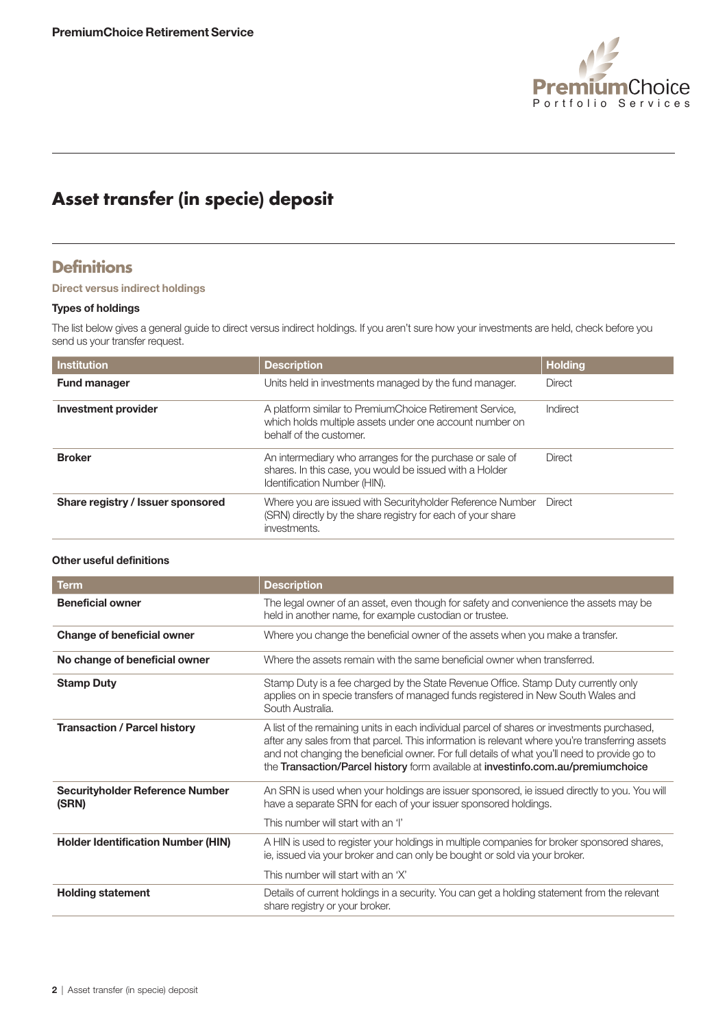

## **Asset transfer (in specie) deposit**

### **Definitions**

#### Direct versus indirect holdings

#### Types of holdings

The list below gives a general guide to direct versus indirect holdings. If you aren't sure how your investments are held, check before you send us your transfer request.

| Institution                       | <b>Description</b>                                                                                                                                  | <b>Holding</b> |
|-----------------------------------|-----------------------------------------------------------------------------------------------------------------------------------------------------|----------------|
| <b>Fund manager</b>               | Units held in investments managed by the fund manager.                                                                                              | <b>Direct</b>  |
| Investment provider               | A platform similar to PremiumChoice Retirement Service,<br>which holds multiple assets under one account number on<br>behalf of the customer.       | Indirect       |
| <b>Broker</b>                     | An intermediary who arranges for the purchase or sale of<br>shares. In this case, you would be issued with a Holder<br>Identification Number (HIN). | Direct         |
| Share registry / Issuer sponsored | Where you are issued with Securityholder Reference Number<br>(SRN) directly by the share registry for each of your share<br>investments.            | Direct         |

#### Other useful definitions

| <b>Term</b>                               | <b>Description</b>                                                                                                                                                                                                                                                                                                                                                                 |
|-------------------------------------------|------------------------------------------------------------------------------------------------------------------------------------------------------------------------------------------------------------------------------------------------------------------------------------------------------------------------------------------------------------------------------------|
| <b>Beneficial owner</b>                   | The legal owner of an asset, even though for safety and convenience the assets may be<br>held in another name, for example custodian or trustee.                                                                                                                                                                                                                                   |
| Change of beneficial owner                | Where you change the beneficial owner of the assets when you make a transfer.                                                                                                                                                                                                                                                                                                      |
| No change of beneficial owner             | Where the assets remain with the same beneficial owner when transferred.                                                                                                                                                                                                                                                                                                           |
| <b>Stamp Duty</b>                         | Stamp Duty is a fee charged by the State Revenue Office. Stamp Duty currently only<br>applies on in specie transfers of managed funds registered in New South Wales and<br>South Australia.                                                                                                                                                                                        |
| <b>Transaction / Parcel history</b>       | A list of the remaining units in each individual parcel of shares or investments purchased,<br>after any sales from that parcel. This information is relevant where you're transferring assets<br>and not changing the beneficial owner. For full details of what you'll need to provide go to<br>the Transaction/Parcel history form available at investinfo.com.au/premiumchoice |
| Securityholder Reference Number<br>(SRN)  | An SRN is used when your holdings are issuer sponsored, ie issued directly to you. You will<br>have a separate SRN for each of your issuer sponsored holdings.                                                                                                                                                                                                                     |
|                                           | This number will start with an 'I'                                                                                                                                                                                                                                                                                                                                                 |
| <b>Holder Identification Number (HIN)</b> | A HIN is used to register your holdings in multiple companies for broker sponsored shares,<br>ie, issued via your broker and can only be bought or sold via your broker.                                                                                                                                                                                                           |
|                                           | This number will start with an 'X'                                                                                                                                                                                                                                                                                                                                                 |
| <b>Holding statement</b>                  | Details of current holdings in a security. You can get a holding statement from the relevant<br>share registry or your broker.                                                                                                                                                                                                                                                     |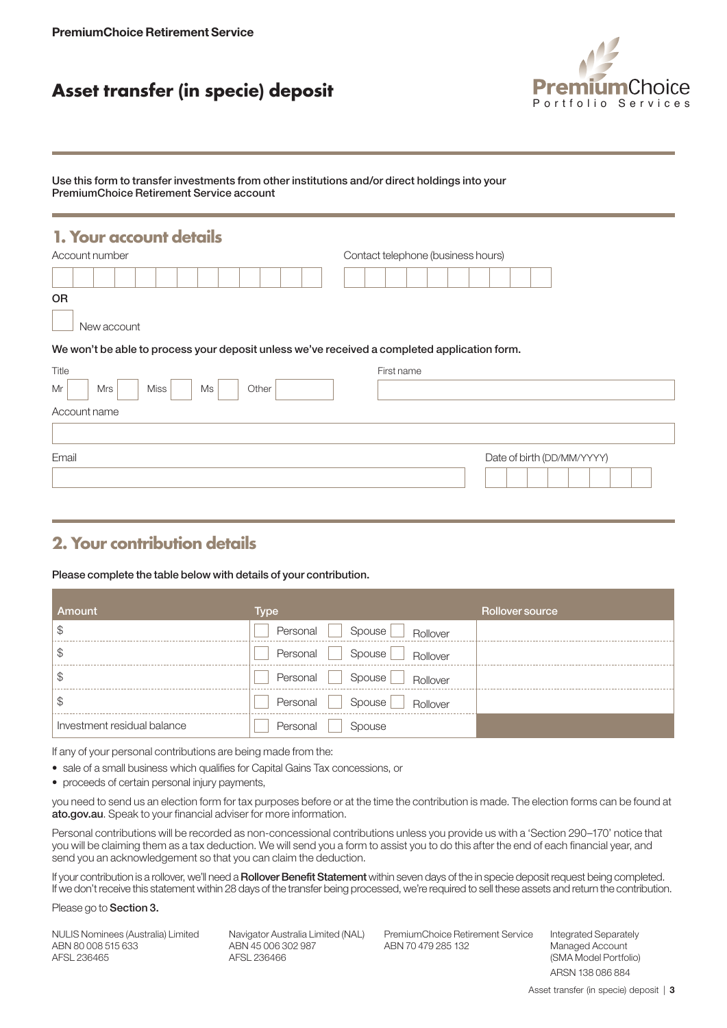# Asset transfer (in specie) deposit **Asset transfer (in specie) deposit Asset Premium**Choice



Use this form to transfer investments from other institutions and/or direct holdings into your PremiumChoice Retirement Service account

### **1. Your account details**

| Account number                                                                                                           | Contact telephone (business hours) |
|--------------------------------------------------------------------------------------------------------------------------|------------------------------------|
|                                                                                                                          |                                    |
| <b>OR</b><br>New account<br>We won't be able to process your deposit unless we've received a completed application form. |                                    |
| Title<br>Other<br>Mr<br><b>Miss</b><br><b>Mrs</b><br>Ms<br>Account name                                                  | First name                         |
| Email                                                                                                                    | Date of birth (DD/MM/YYYY)         |

### **2. Your contribution details**

#### Please complete the table below with details of your contribution.

| Amount                      | Type                                        | Rollover source |
|-----------------------------|---------------------------------------------|-----------------|
|                             | Personal<br>Spouse<br>Rollover              |                 |
|                             | Personal<br>Spouse<br>Rollover              |                 |
|                             | Personal<br>Spouse <sup>-</sup><br>Rollover |                 |
|                             | Personal<br>Spouse<br>Rollover              |                 |
| Investment residual balance | Personal<br>Snouse                          |                 |

If any of your personal contributions are being made from the:

- sale of a small business which qualifies for Capital Gains Tax concessions, or
- proceeds of certain personal injury payments,

you need to send us an election form for tax purposes before or at the time the contribution is made. The election forms can be found at ato.gov.au. Speak to your financial adviser for more information.

Personal contributions will be recorded as non-concessional contributions unless you provide us with a 'Section 290–170' notice that you will be claiming them as a tax deduction. We will send you a form to assist you to do this after the end of each financial year, and send you an acknowledgement so that you can claim the deduction.

If your contribution is a rollover, we'll need a Rollover Benefit Statement within seven days of the in specie deposit request being completed. If we don't receive this statement within 28 days of the transfer being processed, we're required to sell these assets and return the contribution.

#### Please go to Section 3.

NULIS Nominees (Australia) Limited ABN 80 008 515 633 AFSL 236465

Navigator Australia Limited (NAL) ABN 45 006 302 987 AFSL 236466

PremiumChoice Retirement Service ABN 70 479 285 132

Integrated Separately Managed Account (SMA Model Portfolio) ARSN 138 086 884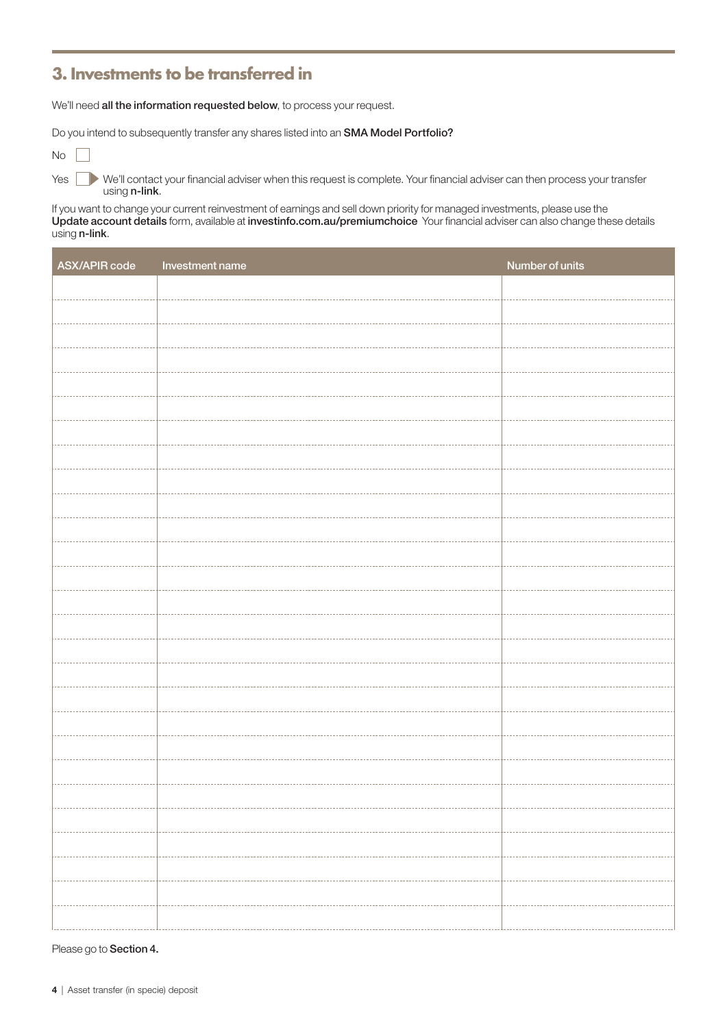### **3. Investments to be transferred in**

We'll need all the information requested below, to process your request.

Do you intend to subsequently transfer any shares listed into an **SMA Model Portfolio?** 

Yes We'll contact your financial adviser when this request is complete. Your financial adviser can then process your transfer using n-link.

If you want to change your current reinvestment of earnings and sell down priority for managed investments, please use the Update account details form, available at investinfo.com.au/premiumchoice Your financial adviser can also change these details using n-link.

| ASX/APIR code                     | Investment name | Number of units |
|-----------------------------------|-----------------|-----------------|
|                                   |                 |                 |
|                                   |                 |                 |
|                                   |                 |                 |
|                                   |                 |                 |
|                                   |                 |                 |
|                                   |                 |                 |
|                                   |                 |                 |
|                                   |                 |                 |
|                                   |                 |                 |
|                                   |                 |                 |
|                                   |                 |                 |
|                                   |                 |                 |
|                                   |                 |                 |
|                                   |                 |                 |
|                                   |                 |                 |
|                                   |                 |                 |
|                                   |                 |                 |
|                                   |                 |                 |
|                                   |                 |                 |
|                                   |                 |                 |
|                                   |                 |                 |
|                                   |                 |                 |
|                                   |                 |                 |
|                                   |                 |                 |
|                                   |                 |                 |
|                                   |                 |                 |
| --------------------------------- |                 |                 |
|                                   |                 |                 |

Please go to Section 4.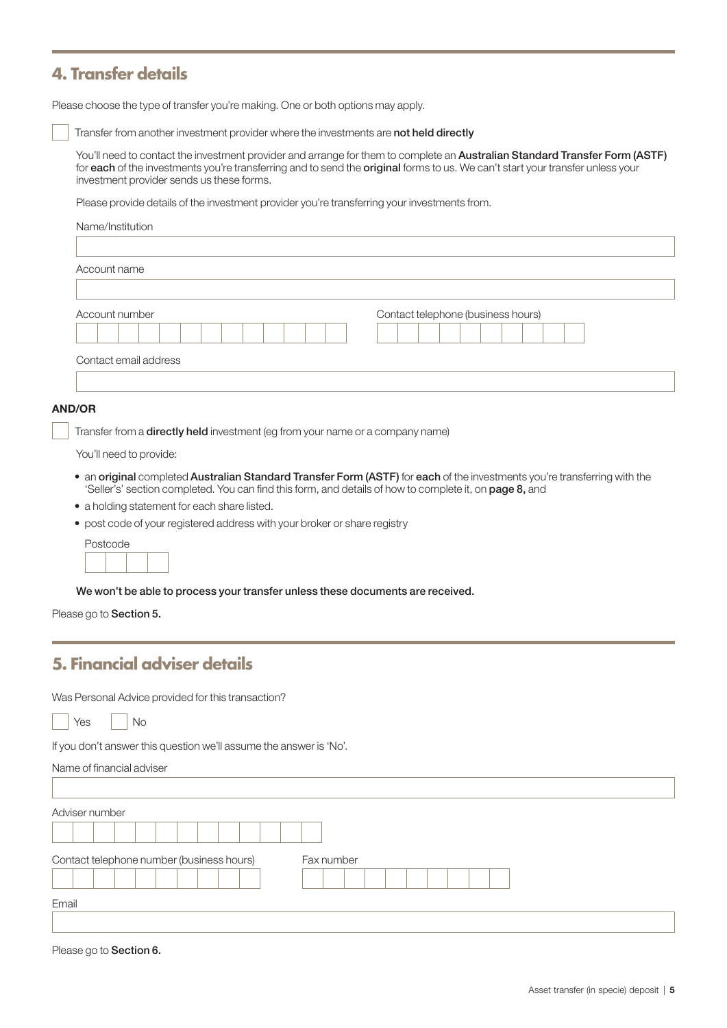### **4. Transfer details**

Please choose the type of transfer you're making. One or both options may apply.

Transfer from another investment provider where the investments are not held directly

You'll need to contact the investment provider and arrange for them to complete an Australian Standard Transfer Form (ASTF) for each of the investments you're transferring and to send the original forms to us. We can't start your transfer unless your investment provider sends us these forms.

Please provide details of the investment provider you're transferring your investments from.

#### Name/Institution

| Account name          |                                    |
|-----------------------|------------------------------------|
| Account number        | Contact telephone (business hours) |
| Contact email address |                                    |

#### AND/OR

Transfer from a **directly held** investment (eg from your name or a company name)

You'll need to provide:

- an original completed Australian Standard Transfer Form (ASTF) for each of the investments you're transferring with the 'Seller's' section completed. You can find this form, and details of how to complete it, on page 8, and
- a holding statement for each share listed.
- post code of your registered address with your broker or share registry

| Postcode |  |  |  |
|----------|--|--|--|
|          |  |  |  |

We won't be able to process your transfer unless these documents are received.

Please go to Section 5.

### **5. Financial adviser details**

Was Personal Advice provided for this transaction?

| Yes | Νo |
|-----|----|

If you don't answer this question we'll assume the answer is 'No'.

| Name of financial adviser                               |  |
|---------------------------------------------------------|--|
|                                                         |  |
| Adviser number                                          |  |
|                                                         |  |
| Contact telephone number (business hours)<br>Fax number |  |
|                                                         |  |
| Email                                                   |  |
|                                                         |  |

Please go to Section 6.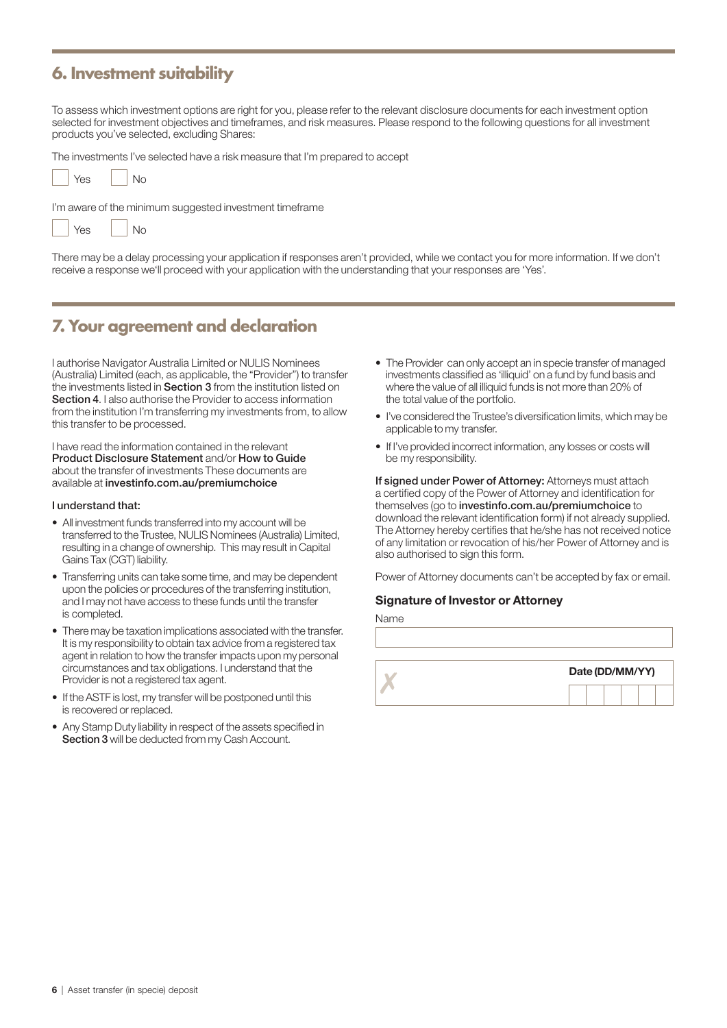### **6. Investment suitability**

To assess which investment options are right for you, please refer to the relevant disclosure documents for each investment option selected for investment objectives and timeframes, and risk measures. Please respond to the following questions for all investment products you've selected, excluding Shares:

The investments I've selected have a risk measure that I'm prepared to accept

| Yes | No |
|-----|----|
|     |    |

I'm aware of the minimum suggested investment timeframe

|  | Yes |  | No |
|--|-----|--|----|
|--|-----|--|----|

There may be a delay processing your application if responses aren't provided, while we contact you for more information. If we don't receive a response we'll proceed with your application with the understanding that your responses are 'Yes'.

### **7. Your agreement and declaration**

I authorise Navigator Australia Limited or NULIS Nominees (Australia) Limited (each, as applicable, the "Provider") to transfer the investments listed in Section 3 from the institution listed on Section 4. I also authorise the Provider to access information from the institution I'm transferring my investments from, to allow this transfer to be processed.

I have read the information contained in the relevant Product Disclosure Statement and/or How to Guide about the transfer of investments These documents are available at investinfo.com.au/premiumchoice

#### I understand that:

- All investment funds transferred into my account will be transferred to the Trustee, NULIS Nominees (Australia) Limited, resulting in a change of ownership. This may result in Capital Gains Tax (CGT) liability.
- Transferring units can take some time, and may be dependent upon the policies or procedures of the transferring institution, and I may not have access to these funds until the transfer is completed.
- There may be taxation implications associated with the transfer. It is my responsibility to obtain tax advice from a registered tax agent in relation to how the transfer impacts upon my personal circumstances and tax obligations. I understand that the Provider is not a registered tax agent.
- If the ASTF is lost, my transfer will be postponed until this is recovered or replaced.
- Any Stamp Duty liability in respect of the assets specified in Section 3 will be deducted from my Cash Account.
- The Provider can only accept an in specie transfer of managed investments classified as 'illiquid' on a fund by fund basis and where the value of all illiquid funds is not more than 20% of the total value of the portfolio.
- I've considered the Trustee's diversification limits, which may be applicable to my transfer.
- If I've provided incorrect information, any losses or costs will be my responsibility.

If signed under Power of Attorney: Attorneys must attach a certified copy of the Power of Attorney and identification for themselves (go to investinfo.com.au/premiumchoice to download the relevant identification form) if not already supplied. The Attorney hereby certifies that he/she has not received notice of any limitation or revocation of his/her Power of Attorney and is also authorised to sign this form.

Power of Attorney documents can't be accepted by fax or email.

#### Signature of Investor or Attorney

Name

| Date (DD/MM/YY) |  |  |  |
|-----------------|--|--|--|
|                 |  |  |  |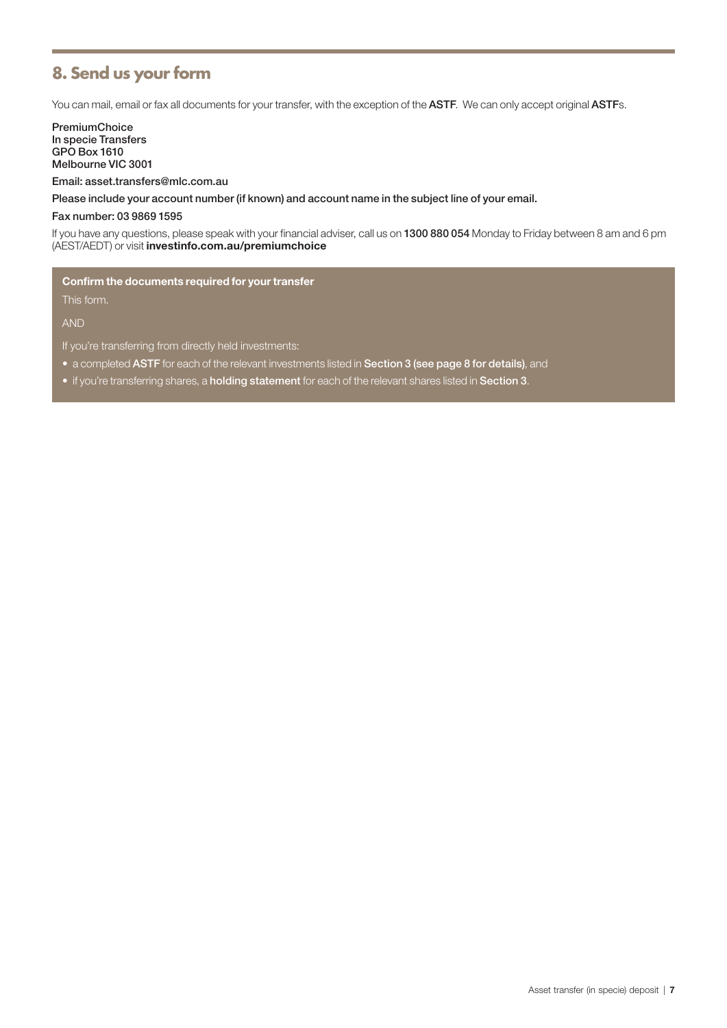## **8. Send us your form**

You can mail, email or fax all documents for your transfer, with the exception of the ASTF. We can only accept original ASTFs.

**PremiumChoice** In specie Transfers GPO Box 1610 Melbourne VIC 3001

Email: asset.transfers@mlc.com.au

Please include your account number (if known) and account name in the subject line of your email.

#### Fax number: 03 9869 1595

If you have any questions, please speak with your financial adviser, call us on 1300 880 054 Monday to Friday between 8 am and 6 pm (AEST/AEDT) or visit investinfo.com.au/premiumchoice

Confirm the documents required for your transfer

This form.

AND

If you're transferring from directly held investments:

- a completed ASTF for each of the relevant investments listed in Section 3 (see page 8 for details), and
- if you're transferring shares, a holding statement for each of the relevant shares listed in Section 3.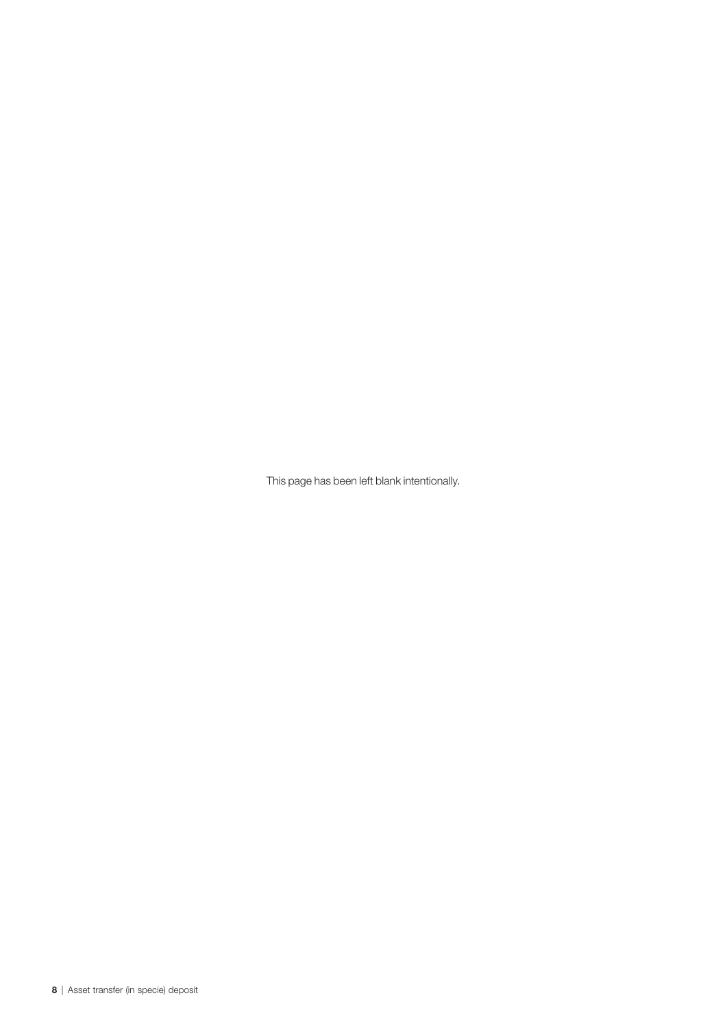This page has been left blank intentionally.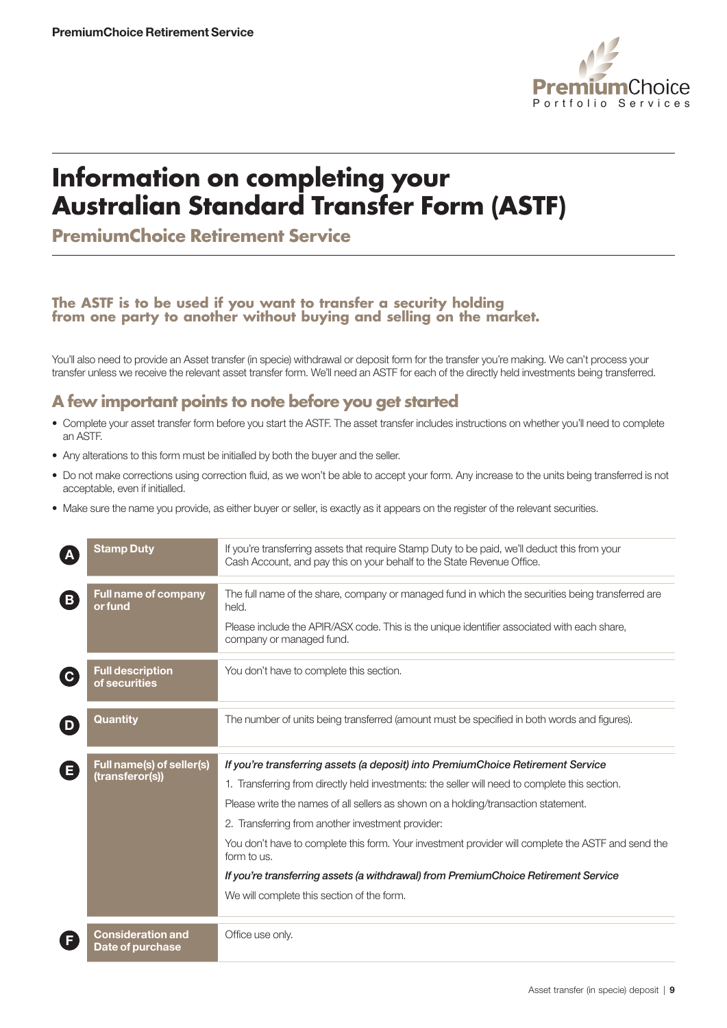

# **Information on completing your Australian Standard Transfer Form (ASTF)**

**PremiumChoice Retirement Service**

### **The ASTF is to be used if you want to transfer a security holding** from one party to another without buying and selling on the market.

You'll also need to provide an Asset transfer (in specie) withdrawal or deposit form for the transfer you're making. We can't process your transfer unless we receive the relevant asset transfer form. We'll need an ASTF for each of the directly held investments being transferred.

### **A few important points to note before you get started**

- Complete your asset transfer form before you start the ASTF. The asset transfer includes instructions on whether you'll need to complete an ASTF.
- Any alterations to this form must be initialled by both the buyer and the seller.
- Do not make corrections using correction fluid, as we won't be able to accept your form. Any increase to the units being transferred is not acceptable, even if initialled.
- Make sure the name you provide, as either buyer or seller, is exactly as it appears on the register of the relevant securities.

|             | <b>Stamp Duty</b>                        | If you're transferring assets that require Stamp Duty to be paid, we'll deduct this from your                           |
|-------------|------------------------------------------|-------------------------------------------------------------------------------------------------------------------------|
|             |                                          | Cash Account, and pay this on your behalf to the State Revenue Office.                                                  |
| $\boxed{B}$ | <b>Full name of company</b><br>or fund   | The full name of the share, company or managed fund in which the securities being transferred are<br>held.              |
|             |                                          | Please include the APIR/ASX code. This is the unique identifier associated with each share,<br>company or managed fund. |
|             | <b>Full description</b><br>of securities | You don't have to complete this section.                                                                                |
| D           | Quantity                                 | The number of units being transferred (amount must be specified in both words and figures).                             |
|             | Full name(s) of seller(s)                | If you're transferring assets (a deposit) into PremiumChoice Retirement Service                                         |
|             |                                          |                                                                                                                         |
| E           | (transferor(s))                          | 1. Transferring from directly held investments: the seller will need to complete this section.                          |
|             |                                          | Please write the names of all sellers as shown on a holding/transaction statement.                                      |
|             |                                          | 2. Transferring from another investment provider:                                                                       |
|             |                                          | You don't have to complete this form. Your investment provider will complete the ASTF and send the<br>form to us.       |
|             |                                          | If you're transferring assets (a withdrawal) from PremiumChoice Retirement Service                                      |
|             |                                          | We will complete this section of the form.                                                                              |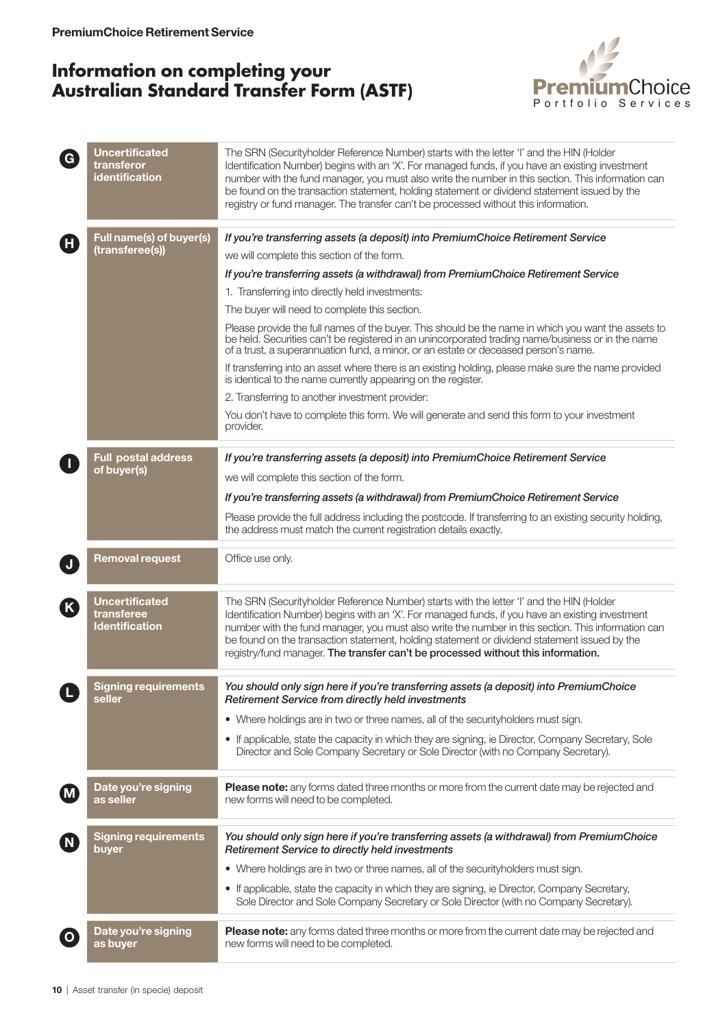## **Information on completing your Australian Standard Transfer Form (ASTF) FremIUM**CHOICE<br>Portfolio Services



| $\overline{G}$ | <b>Uncertificated</b><br>transferor<br>identification        | The SRN (Securityholder Reference Number) starts with the letter 'I' and the HIN (Holder<br>Identification Number) begins with an 'X'. For managed funds, if you have an existing investment<br>number with the fund manager, you must also write the number in this section. This information can<br>be found on the transaction statement, holding statement or dividend statement issued by the<br>registry or fund manager. The transfer can't be processed without this information. |
|----------------|--------------------------------------------------------------|-------------------------------------------------------------------------------------------------------------------------------------------------------------------------------------------------------------------------------------------------------------------------------------------------------------------------------------------------------------------------------------------------------------------------------------------------------------------------------------------|
| Œ              | Full name(s) of buyer(s)                                     | If you're transferring assets (a deposit) into PremiumChoice Retirement Service                                                                                                                                                                                                                                                                                                                                                                                                           |
|                | (transferee(s))                                              | we will complete this section of the form.                                                                                                                                                                                                                                                                                                                                                                                                                                                |
|                |                                                              | If you're transferring assets (a withdrawal) from PremiumChoice Retirement Service                                                                                                                                                                                                                                                                                                                                                                                                        |
|                |                                                              | 1. Transferring into directly held investments:                                                                                                                                                                                                                                                                                                                                                                                                                                           |
|                |                                                              | The buyer will need to complete this section.                                                                                                                                                                                                                                                                                                                                                                                                                                             |
|                |                                                              | Please provide the full names of the buyer. This should be the name in which you want the assets to<br>be held. Securities can't be registered in an unincorporated trading name/business or in the name<br>of a trust, a superannuation fund, a minor, or an estate or deceased person's name.                                                                                                                                                                                           |
|                |                                                              | If transferring into an asset where there is an existing holding, please make sure the name provided<br>is identical to the name currently appearing on the register.                                                                                                                                                                                                                                                                                                                     |
|                |                                                              | 2. Transferring to another investment provider:                                                                                                                                                                                                                                                                                                                                                                                                                                           |
|                |                                                              | You don't have to complete this form. We will generate and send this form to your investment<br>provider.                                                                                                                                                                                                                                                                                                                                                                                 |
|                | <b>Full postal address</b><br>of buyer(s)                    | If you're transferring assets (a deposit) into PremiumChoice Retirement Service                                                                                                                                                                                                                                                                                                                                                                                                           |
|                |                                                              | we will complete this section of the form.                                                                                                                                                                                                                                                                                                                                                                                                                                                |
|                |                                                              | If you're transferring assets (a withdrawal) from PremiumChoice Retirement Service                                                                                                                                                                                                                                                                                                                                                                                                        |
|                |                                                              | Please provide the full address including the postcode. If transferring to an existing security holding,<br>the address must match the current registration details exactly.                                                                                                                                                                                                                                                                                                              |
| $\mathsf{J}$   | <b>Removal request</b>                                       | Office use only.                                                                                                                                                                                                                                                                                                                                                                                                                                                                          |
| K              | <b>Uncertificated</b><br>transferee<br><b>Identification</b> | The SRN (Securityholder Reference Number) starts with the letter 'I' and the HIN (Holder<br>Identification Number) begins with an 'X'. For managed funds, if you have an existing investment<br>number with the fund manager, you must also write the number in this section. This information can<br>be found on the transaction statement, holding statement or dividend statement issued by the<br>registry/fund manager. The transfer can't be processed without this information.    |
|                | Signing requirements<br>seller                               | You should only sign here if you're transferring assets (a deposit) into PremiumChoice<br>Retirement Service from directly held investments                                                                                                                                                                                                                                                                                                                                               |
|                |                                                              | • Where holdings are in two or three names, all of the security holders must sign.                                                                                                                                                                                                                                                                                                                                                                                                        |
|                |                                                              | • If applicable, state the capacity in which they are signing, ie Director, Company Secretary, Sole<br>Director and Sole Company Secretary or Sole Director (with no Company Secretary).                                                                                                                                                                                                                                                                                                  |
|                | Date you're signing<br>as seller                             | Please note: any forms dated three months or more from the current date may be rejected and<br>new forms will need to be completed.                                                                                                                                                                                                                                                                                                                                                       |
|                | <b>Signing requirements</b><br>buyer                         | You should only sign here if you're transferring assets (a withdrawal) from PremiumChoice<br>Retirement Service to directly held investments                                                                                                                                                                                                                                                                                                                                              |
|                |                                                              | • Where holdings are in two or three names, all of the securityholders must sign.                                                                                                                                                                                                                                                                                                                                                                                                         |
|                |                                                              | • If applicable, state the capacity in which they are signing, ie Director, Company Secretary,<br>Sole Director and Sole Company Secretary or Sole Director (with no Company Secretary).                                                                                                                                                                                                                                                                                                  |
|                | Date you're signing<br>as buyer                              | Please note: any forms dated three months or more from the current date may be rejected and<br>new forms will need to be completed.                                                                                                                                                                                                                                                                                                                                                       |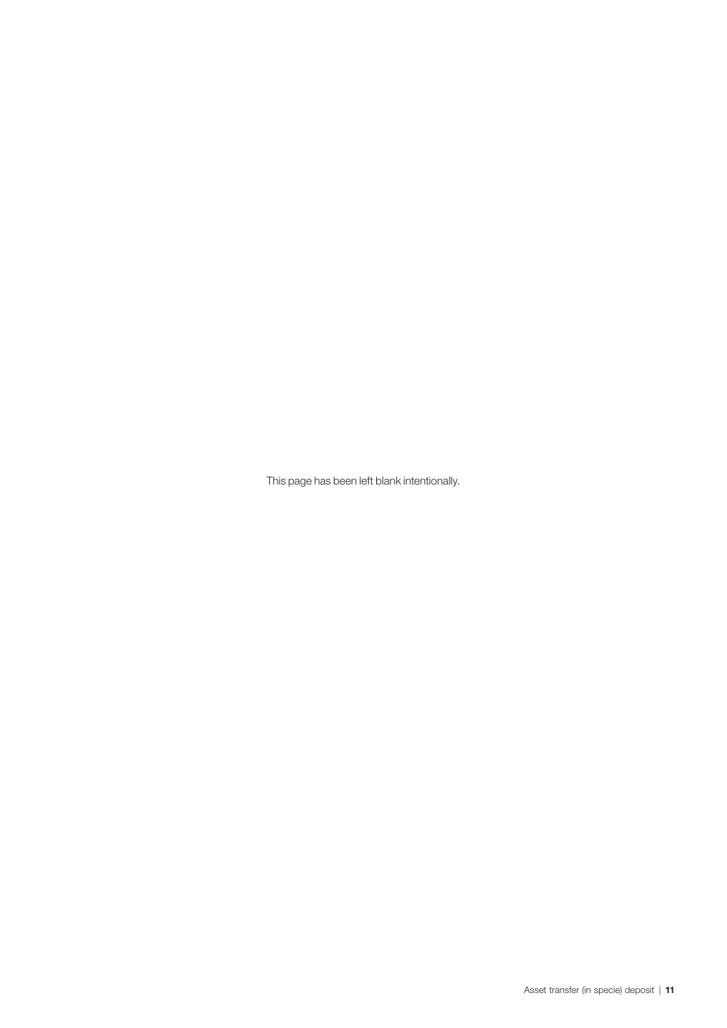This page has been left blank intentionally.